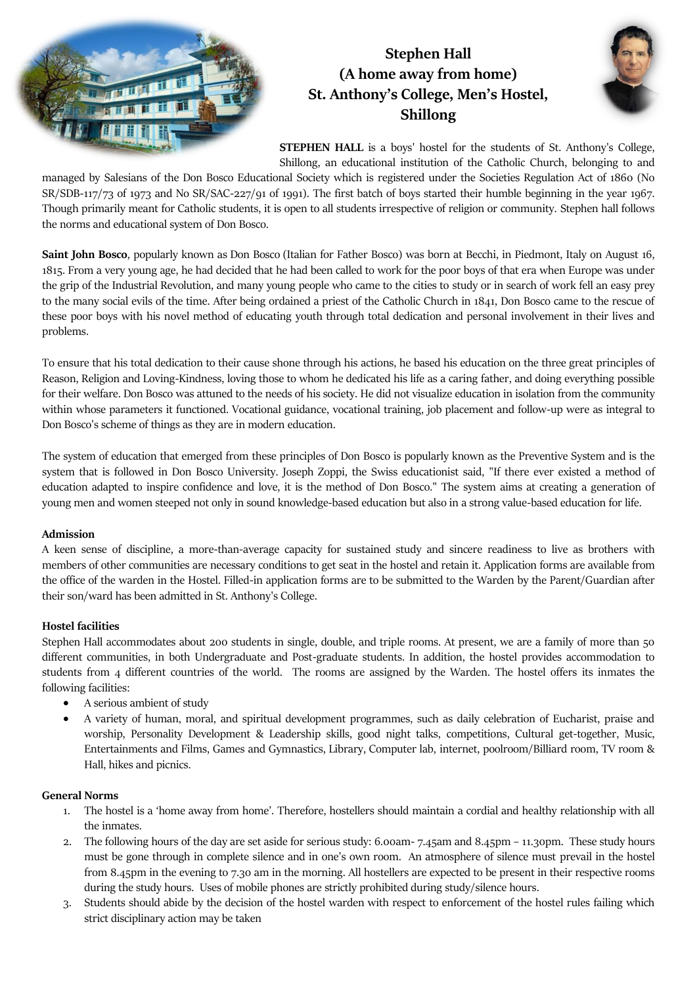

## **Stephen Hall (A home away from home) St. Anthony's College, Men's Hostel, Shillong**



**STEPHEN HALL** is a boys' hostel for the students of St. Anthony's College, Shillong, an educational institution of the Catholic Church, belonging to and

managed by Salesians of the Don Bosco Educational Society which is registered under the Societies Regulation Act of 1860 (No SR/SDB-117/73 of 1973 and No SR/SAC-227/91 of 1991). The first batch of boys started their humble beginning in the year 1967. Though primarily meant for Catholic students, it is open to all students irrespective of religion or community. Stephen hall follows the norms and educational system of Don Bosco.

**Saint John Bosco**, popularly known as Don Bosco (Italian for Father Bosco) was born at Becchi, in Piedmont, Italy on August 16, 1815. From a very young age, he had decided that he had been called to work for the poor boys of that era when Europe was under the grip of the Industrial Revolution, and many young people who came to the cities to study or in search of work fell an easy prey to the many social evils of the time. After being ordained a priest of the Catholic Church in 1841, Don Bosco came to the rescue of these poor boys with his novel method of educating youth through total dedication and personal involvement in their lives and problems.

To ensure that his total dedication to their cause shone through his actions, he based his education on the three great principles of Reason, Religion and Loving-Kindness, loving those to whom he dedicated his life as a caring father, and doing everything possible for their welfare. Don Bosco was attuned to the needs of his society. He did not visualize education in isolation from the community within whose parameters it functioned. Vocational guidance, vocational training, job placement and follow-up were as integral to Don Bosco's scheme of things as they are in modern education.

The system of education that emerged from these principles of Don Bosco is popularly known as the Preventive System and is the system that is followed in Don Bosco University. Joseph Zoppi, the Swiss educationist said, "If there ever existed a method of education adapted to inspire confidence and love, it is the method of Don Bosco." The system aims at creating a generation of young men and women steeped not only in sound knowledge-based education but also in a strong value-based education for life.

#### **Admission**

A keen sense of discipline, a more-than-average capacity for sustained study and sincere readiness to live as brothers with members of other communities are necessary conditions to get seat in the hostel and retain it. Application forms are available from the office of the warden in the Hostel. Filled-in application forms are to be submitted to the Warden by the Parent/Guardian after their son/ward has been admitted in St. Anthony's College.

### **Hostel facilities**

Stephen Hall accommodates about 200 students in single, double, and triple rooms. At present, we are a family of more than 50 different communities, in both Undergraduate and Post-graduate students. In addition, the hostel provides accommodation to students from 4 different countries of the world. The rooms are assigned by the Warden. The hostel offers its inmates the following facilities:

- A serious ambient of study
- A variety of human, moral, and spiritual development programmes, such as daily celebration of Eucharist, praise and worship, Personality Development & Leadership skills, good night talks, competitions, Cultural get-together, Music, Entertainments and Films, Games and Gymnastics, Library, Computer lab, internet, poolroom/Billiard room, TV room & Hall, hikes and picnics.

#### **General Norms**

- 1. The hostel is a 'home away from home'. Therefore, hostellers should maintain a cordial and healthy relationship with all the inmates.
- 2. The following hours of the day are set aside for serious study: 6.00am- 7.45am and 8.45pm 11.30pm. These study hours must be gone through in complete silence and in one's own room. An atmosphere of silence must prevail in the hostel from 8.45pm in the evening to 7.30 am in the morning. All hostellers are expected to be present in their respective rooms during the study hours. Uses of mobile phones are strictly prohibited during study/silence hours.
- 3. Students should abide by the decision of the hostel warden with respect to enforcement of the hostel rules failing which strict disciplinary action may be taken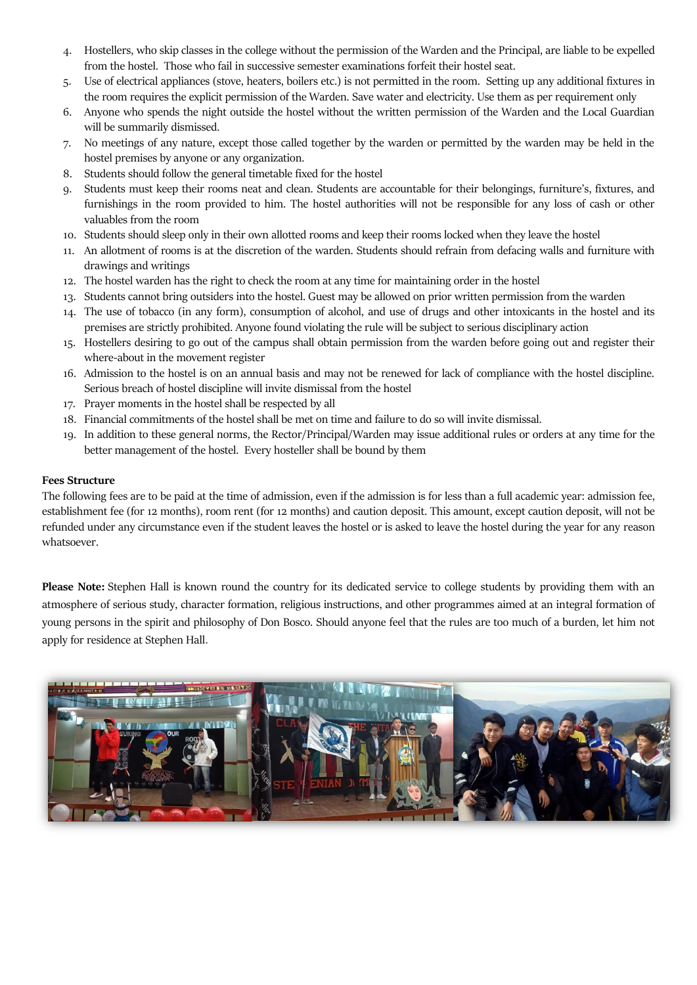- 4. Hostellers, who skip classes in the college without the permission of the Warden and the Principal, are liable to be expelled from the hostel. Those who fail in successive semester examinations forfeit their hostel seat.
- 5. Use of electrical appliances (stove, heaters, boilers etc.) is not permitted in the room. Setting up any additional fixtures in the room requires the explicit permission of the Warden. Save water and electricity. Use them as per requirement only
- 6. Anyone who spends the night outside the hostel without the written permission of the Warden and the Local Guardian will be summarily dismissed.
- 7. No meetings of any nature, except those called together by the warden or permitted by the warden may be held in the hostel premises by anyone or any organization.
- 8. Students should follow the general timetable fixed for the hostel
- 9. Students must keep their rooms neat and clean. Students are accountable for their belongings, furniture's, fixtures, and furnishings in the room provided to him. The hostel authorities will not be responsible for any loss of cash or other valuables from the room
- 10. Students should sleep only in their own allotted rooms and keep their rooms locked when they leave the hostel
- 11. An allotment of rooms is at the discretion of the warden. Students should refrain from defacing walls and furniture with drawings and writings
- 12. The hostel warden has the right to check the room at any time for maintaining order in the hostel
- 13. Students cannot bring outsiders into the hostel. Guest may be allowed on prior written permission from the warden
- 14. The use of tobacco (in any form), consumption of alcohol, and use of drugs and other intoxicants in the hostel and its premises are strictly prohibited. Anyone found violating the rule will be subject to serious disciplinary action
- 15. Hostellers desiring to go out of the campus shall obtain permission from the warden before going out and register their where-about in the movement register
- 16. Admission to the hostel is on an annual basis and may not be renewed for lack of compliance with the hostel discipline. Serious breach of hostel discipline will invite dismissal from the hostel
- 17. Prayer moments in the hostel shall be respected by all
- 18. Financial commitments of the hostel shall be met on time and failure to do so will invite dismissal.
- 19. In addition to these general norms, the Rector/Principal/Warden may issue additional rules or orders at any time for the better management of the hostel. Every hosteller shall be bound by them

#### **Fees Structure**

The following fees are to be paid at the time of admission, even if the admission is for less than a full academic year: admission fee, establishment fee (for 12 months), room rent (for 12 months) and caution deposit. This amount, except caution deposit, will not be refunded under any circumstance even if the student leaves the hostel or is asked to leave the hostel during the year for any reason whatsoever.

**Please Note:** Stephen Hall is known round the country for its dedicated service to college students by providing them with an atmosphere of serious study, character formation, religious instructions, and other programmes aimed at an integral formation of young persons in the spirit and philosophy of Don Bosco. Should anyone feel that the rules are too much of a burden, let him not apply for residence at Stephen Hall.